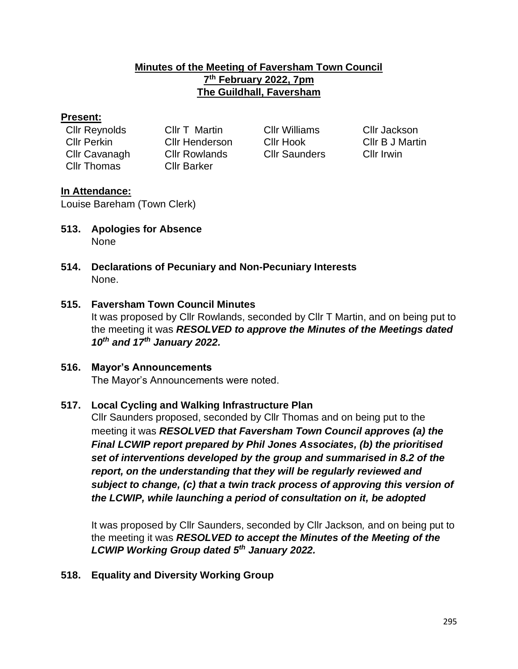## **Minutes of the Meeting of Faversham Town Council 7 th February 2022, 7pm The Guildhall, Faversham**

### **Present:**

| <b>Cllr Reynolds</b> | <b>CIIr T Martin</b> |
|----------------------|----------------------|
| <b>CIIr Perkin</b>   | <b>Cllr Henders</b>  |
| Cllr Cavanagh        | <b>CIIr Rowland</b>  |
| Cllr Thomas          | <b>Cllr Barker</b>   |
|                      |                      |

n Cllr Williams Cllr Jackson Is Cllr Saunders Cllr Irwin

Cllr Perkin Cllr Henderson Cllr Hook Cllr B J Martin

## **In Attendance:**

Louise Bareham (Town Clerk)

- **513. Apologies for Absence** None
- **514. Declarations of Pecuniary and Non-Pecuniary Interests** None.

## **515. Faversham Town Council Minutes**

It was proposed by Cllr Rowlands, seconded by Cllr T Martin, and on being put to the meeting it was *RESOLVED to approve the Minutes of the Meetings dated 10th and 17th January 2022.*

# **516. Mayor's Announcements**

The Mayor's Announcements were noted.

#### **517. Local Cycling and Walking Infrastructure Plan**

Cllr Saunders proposed, seconded by Cllr Thomas and on being put to the meeting it was *RESOLVED that Faversham Town Council approves (a) the Final LCWIP report prepared by Phil Jones Associates, (b) the prioritised set of interventions developed by the group and summarised in 8.2 of the report, on the understanding that they will be regularly reviewed and subject to change, (c) that a twin track process of approving this version of the LCWIP, while launching a period of consultation on it, be adopted* 

It was proposed by Cllr Saunders, seconded by Cllr Jackson*,* and on being put to the meeting it was *RESOLVED to accept the Minutes of the Meeting of the LCWIP Working Group dated 5 th January 2022.* 

**518. Equality and Diversity Working Group**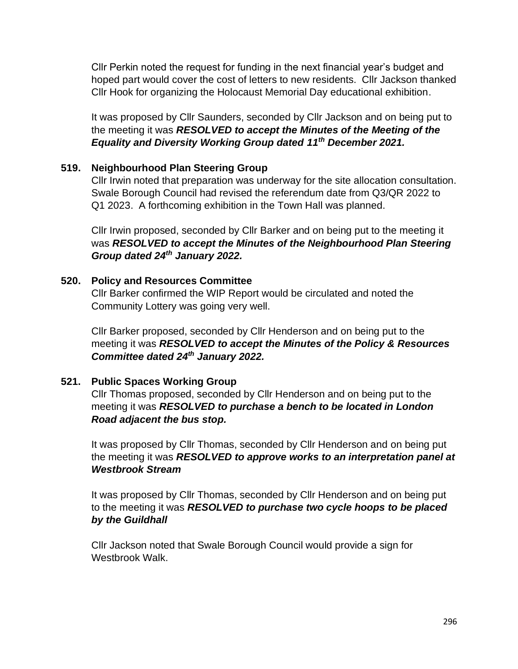Cllr Perkin noted the request for funding in the next financial year's budget and hoped part would cover the cost of letters to new residents. Cllr Jackson thanked Cllr Hook for organizing the Holocaust Memorial Day educational exhibition.

It was proposed by Cllr Saunders, seconded by Cllr Jackson and on being put to the meeting it was *RESOLVED to accept the Minutes of the Meeting of the Equality and Diversity Working Group dated 11th December 2021.*

## **519. Neighbourhood Plan Steering Group**

Cllr Irwin noted that preparation was underway for the site allocation consultation. Swale Borough Council had revised the referendum date from Q3/QR 2022 to Q1 2023. A forthcoming exhibition in the Town Hall was planned.

Cllr Irwin proposed, seconded by Cllr Barker and on being put to the meeting it was *RESOLVED to accept the Minutes of the Neighbourhood Plan Steering Group dated 24th January 2022.*

#### **520. Policy and Resources Committee**

Cllr Barker confirmed the WIP Report would be circulated and noted the Community Lottery was going very well.

Cllr Barker proposed, seconded by Cllr Henderson and on being put to the meeting it was *RESOLVED to accept the Minutes of the Policy & Resources Committee dated 24th January 2022.*

## **521. Public Spaces Working Group**

Cllr Thomas proposed, seconded by Cllr Henderson and on being put to the meeting it was *RESOLVED to purchase a bench to be located in London Road adjacent the bus stop.*

It was proposed by Cllr Thomas, seconded by Cllr Henderson and on being put the meeting it was *RESOLVED to approve works to an interpretation panel at Westbrook Stream*

It was proposed by Cllr Thomas, seconded by Cllr Henderson and on being put to the meeting it was *RESOLVED to purchase two cycle hoops to be placed by the Guildhall*

Cllr Jackson noted that Swale Borough Council would provide a sign for Westbrook Walk.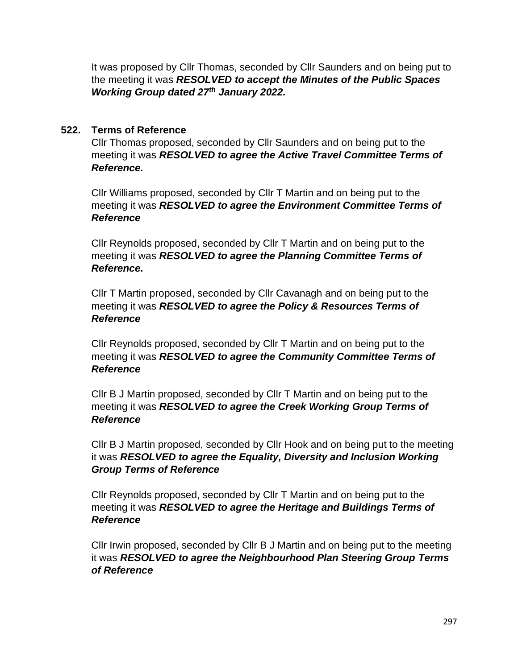It was proposed by Cllr Thomas, seconded by Cllr Saunders and on being put to the meeting it was *RESOLVED to accept the Minutes of the Public Spaces Working Group dated 27th January 2022.*

## **522. Terms of Reference**

Cllr Thomas proposed, seconded by Cllr Saunders and on being put to the meeting it was *RESOLVED to agree the Active Travel Committee Terms of Reference.*

Cllr Williams proposed, seconded by Cllr T Martin and on being put to the meeting it was *RESOLVED to agree the Environment Committee Terms of Reference*

Cllr Reynolds proposed, seconded by Cllr T Martin and on being put to the meeting it was *RESOLVED to agree the Planning Committee Terms of Reference.*

Cllr T Martin proposed, seconded by Cllr Cavanagh and on being put to the meeting it was *RESOLVED to agree the Policy & Resources Terms of Reference*

Cllr Reynolds proposed, seconded by Cllr T Martin and on being put to the meeting it was *RESOLVED to agree the Community Committee Terms of Reference*

Cllr B J Martin proposed, seconded by Cllr T Martin and on being put to the meeting it was *RESOLVED to agree the Creek Working Group Terms of Reference*

Cllr B J Martin proposed, seconded by Cllr Hook and on being put to the meeting it was *RESOLVED to agree the Equality, Diversity and Inclusion Working Group Terms of Reference*

Cllr Reynolds proposed, seconded by Cllr T Martin and on being put to the meeting it was *RESOLVED to agree the Heritage and Buildings Terms of Reference*

Cllr Irwin proposed, seconded by Cllr B J Martin and on being put to the meeting it was *RESOLVED to agree the Neighbourhood Plan Steering Group Terms of Reference*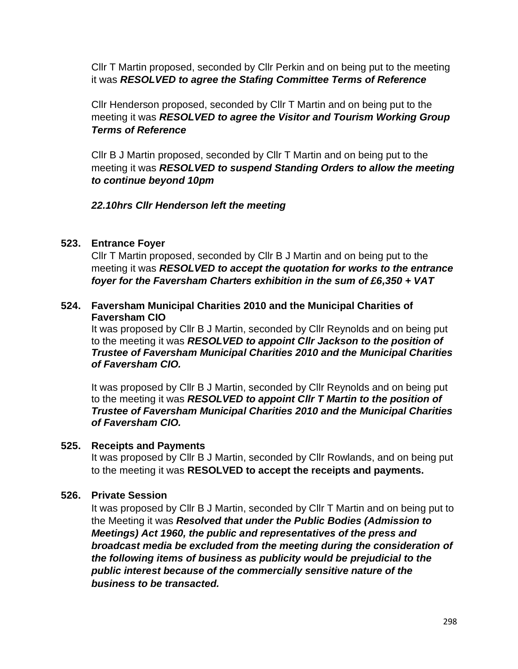Cllr T Martin proposed, seconded by Cllr Perkin and on being put to the meeting it was *RESOLVED to agree the Stafing Committee Terms of Reference*

Cllr Henderson proposed, seconded by Cllr T Martin and on being put to the meeting it was *RESOLVED to agree the Visitor and Tourism Working Group Terms of Reference*

Cllr B J Martin proposed, seconded by Cllr T Martin and on being put to the meeting it was *RESOLVED to suspend Standing Orders to allow the meeting to continue beyond 10pm*

## *22.10hrs Cllr Henderson left the meeting*

#### **523. Entrance Foyer**

Cllr T Martin proposed, seconded by Cllr B J Martin and on being put to the meeting it was *RESOLVED to accept the quotation for works to the entrance foyer for the Faversham Charters exhibition in the sum of £6,350 + VAT*

## **524. Faversham Municipal Charities 2010 and the Municipal Charities of Faversham CIO**

It was proposed by Cllr B J Martin, seconded by Cllr Reynolds and on being put to the meeting it was *RESOLVED to appoint Cllr Jackson to the position of Trustee of Faversham Municipal Charities 2010 and the Municipal Charities of Faversham CIO.*

It was proposed by Cllr B J Martin, seconded by Cllr Reynolds and on being put to the meeting it was *RESOLVED to appoint Cllr T Martin to the position of Trustee of Faversham Municipal Charities 2010 and the Municipal Charities of Faversham CIO.*

#### **525. Receipts and Payments**

It was proposed by Cllr B J Martin, seconded by Cllr Rowlands, and on being put to the meeting it was **RESOLVED to accept the receipts and payments.**

## **526. Private Session**

It was proposed by Cllr B J Martin, seconded by Cllr T Martin and on being put to the Meeting it was *Resolved that under the Public Bodies (Admission to Meetings) Act 1960, the public and representatives of the press and broadcast media be excluded from the meeting during the consideration of the following items of business as publicity would be prejudicial to the public interest because of the commercially sensitive nature of the business to be transacted.*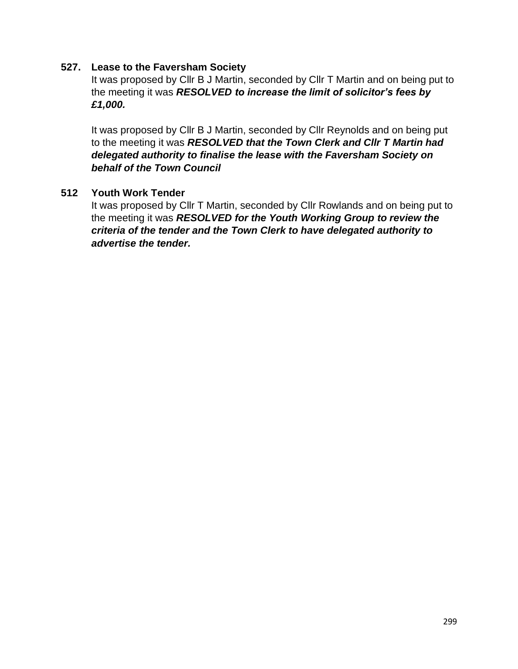#### **527. Lease to the Faversham Society**

It was proposed by Cllr B J Martin, seconded by Cllr T Martin and on being put to the meeting it was *RESOLVED to increase the limit of solicitor's fees by £1,000.*

It was proposed by Cllr B J Martin, seconded by Cllr Reynolds and on being put to the meeting it was *RESOLVED that the Town Clerk and Cllr T Martin had delegated authority to finalise the lease with the Faversham Society on behalf of the Town Council* 

## **512 Youth Work Tender**

It was proposed by Cllr T Martin, seconded by Cllr Rowlands and on being put to the meeting it was *RESOLVED for the Youth Working Group to review the criteria of the tender and the Town Clerk to have delegated authority to advertise the tender.*